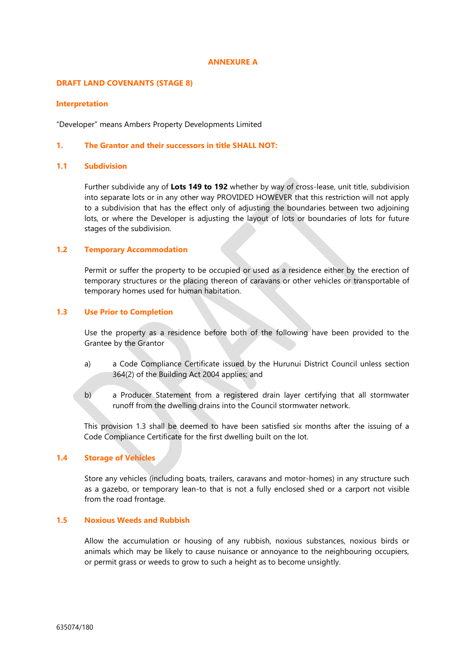#### **ANNEXURE A**

### **DRAFT LAND COVENANTS (STAGE 8)**

#### **Interpretation**

"Developer" means Ambers Property Developments Limited

### **1. The Grantor and their successors in title SHALL NOT:**

# **1.1 Subdivision**

Further subdivide any of **Lots 149 to 192** whether by way of cross-lease, unit title, subdivision into separate lots or in any other way PROVIDED HOWEVER that this restriction will not apply to a subdivision that has the effect only of adjusting the boundaries between two adjoining lots, or where the Developer is adjusting the layout of lots or boundaries of lots for future stages of the subdivision.

### **1.2 Temporary Accommodation**

Permit or suffer the property to be occupied or used as a residence either by the erection of temporary structures or the placing thereon of caravans or other vehicles or transportable of temporary homes used for human habitation.

## **1.3 Use Prior to Completion**

Use the property as a residence before both of the following have been provided to the Grantee by the Grantor

- a) a Code Compliance Certificate issued by the Hurunui District Council unless section 364(2) of the Building Act 2004 applies; and
- b) a Producer Statement from a registered drain layer certifying that all stormwater runoff from the dwelling drains into the Council stormwater network.

This provision 1.3 shall be deemed to have been satisfied six months after the issuing of a Code Compliance Certificate for the first dwelling built on the lot.

## **1.4 Storage of Vehicles**

Store any vehicles (including boats, trailers, caravans and motor-homes) in any structure such as a gazebo, or temporary lean-to that is not a fully enclosed shed or a carport not visible from the road frontage.

## **1.5 Noxious Weeds and Rubbish**

Allow the accumulation or housing of any rubbish, noxious substances, noxious birds or animals which may be likely to cause nuisance or annoyance to the neighbouring occupiers, or permit grass or weeds to grow to such a height as to become unsightly.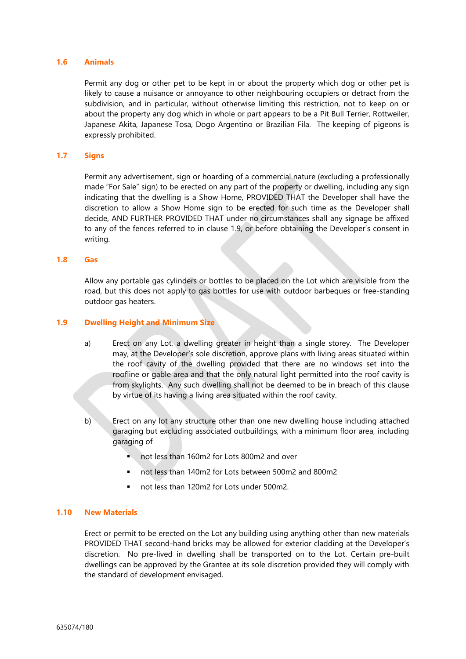### **1.6 Animals**

Permit any dog or other pet to be kept in or about the property which dog or other pet is likely to cause a nuisance or annoyance to other neighbouring occupiers or detract from the subdivision, and in particular, without otherwise limiting this restriction, not to keep on or about the property any dog which in whole or part appears to be a Pit Bull Terrier, Rottweiler, Japanese Akita, Japanese Tosa, Dogo Argentino or Brazilian Fila. The keeping of pigeons is expressly prohibited.

### **1.7 Signs**

Permit any advertisement, sign or hoarding of a commercial nature (excluding a professionally made "For Sale" sign) to be erected on any part of the property or dwelling, including any sign indicating that the dwelling is a Show Home, PROVIDED THAT the Developer shall have the discretion to allow a Show Home sign to be erected for such time as the Developer shall decide, AND FURTHER PROVIDED THAT under no circumstances shall any signage be affixed to any of the fences referred to in clause 1.9, or before obtaining the Developer's consent in writing.

#### **1.8 Gas**

Allow any portable gas cylinders or bottles to be placed on the Lot which are visible from the road, but this does not apply to gas bottles for use with outdoor barbeques or free-standing outdoor gas heaters.

### **1.9 Dwelling Height and Minimum Size**

- a) Erect on any Lot, a dwelling greater in height than a single storey. The Developer may, at the Developer's sole discretion, approve plans with living areas situated within the roof cavity of the dwelling provided that there are no windows set into the roofline or gable area and that the only natural light permitted into the roof cavity is from skylights. Any such dwelling shall not be deemed to be in breach of this clause by virtue of its having a living area situated within the roof cavity.
- b) Erect on any lot any structure other than one new dwelling house including attached garaging but excluding associated outbuildings, with a minimum floor area, including garaging of
	- not less than 160m2 for Lots 800m2 and over
	- not less than 140m2 for Lots between 500m2 and 800m2
	- not less than 120m2 for Lots under 500m2.

## **1.10 New Materials**

Erect or permit to be erected on the Lot any building using anything other than new materials PROVIDED THAT second-hand bricks may be allowed for exterior cladding at the Developer's discretion. No pre-lived in dwelling shall be transported on to the Lot. Certain pre-built dwellings can be approved by the Grantee at its sole discretion provided they will comply with the standard of development envisaged.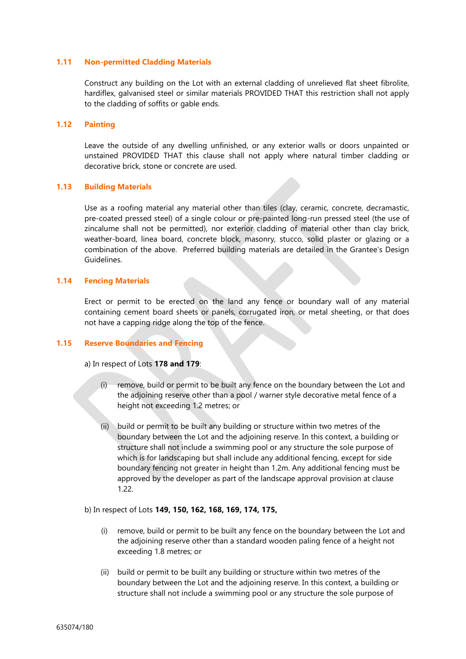#### **1.11 Non-permitted Cladding Materials**

Construct any building on the Lot with an external cladding of unrelieved flat sheet fibrolite, hardiflex, galvanised steel or similar materials PROVIDED THAT this restriction shall not apply to the cladding of soffits or gable ends.

## **1.12 Painting**

Leave the outside of any dwelling unfinished, or any exterior walls or doors unpainted or unstained PROVIDED THAT this clause shall not apply where natural timber cladding or decorative brick, stone or concrete are used.

#### **1.13 Building Materials**

Use as a roofing material any material other than tiles (clay, ceramic, concrete, decramastic, pre-coated pressed steel) of a single colour or pre-painted long-run pressed steel (the use of zincalume shall not be permitted), nor exterior cladding of material other than clay brick, weather-board, linea board, concrete block, masonry, stucco, solid plaster or glazing or a combination of the above. Preferred building materials are detailed in the Grantee's Design Guidelines.

### **1.14 Fencing Materials**

Erect or permit to be erected on the land any fence or boundary wall of any material containing cement board sheets or panels, corrugated iron, or metal sheeting, or that does not have a capping ridge along the top of the fence.

#### **1.15 Reserve Boundaries and Fencing**

a) In respect of Lots **178 and 179**:

- (i) remove, build or permit to be built any fence on the boundary between the Lot and the adjoining reserve other than a pool / warner style decorative metal fence of a height not exceeding 1.2 metres; or
- (ii) build or permit to be built any building or structure within two metres of the boundary between the Lot and the adjoining reserve. In this context, a building or structure shall not include a swimming pool or any structure the sole purpose of which is for landscaping but shall include any additional fencing, except for side boundary fencing not greater in height than 1.2m. Any additional fencing must be approved by the developer as part of the landscape approval provision at clause 1.22.

#### b) In respect of Lots **149, 150, 162, 168, 169, 174, 175,**

- (i) remove, build or permit to be built any fence on the boundary between the Lot and the adjoining reserve other than a standard wooden paling fence of a height not exceeding 1.8 metres; or
- (ii) build or permit to be built any building or structure within two metres of the boundary between the Lot and the adjoining reserve. In this context, a building or structure shall not include a swimming pool or any structure the sole purpose of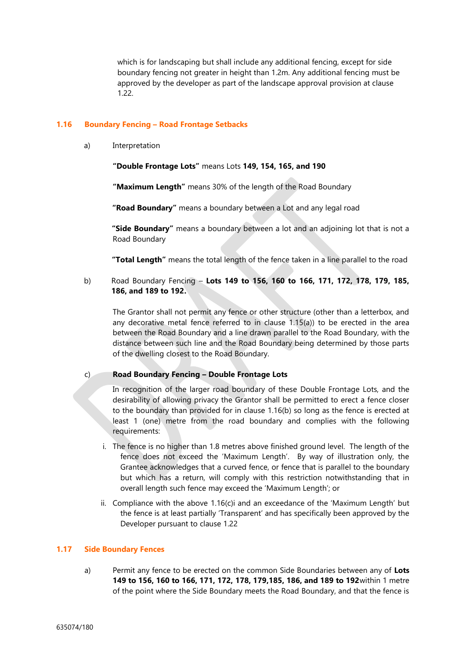which is for landscaping but shall include any additional fencing, except for side boundary fencing not greater in height than 1.2m. Any additional fencing must be approved by the developer as part of the landscape approval provision at clause 1.22.

## **1.16 Boundary Fencing – Road Frontage Setbacks**

a) Interpretation

**"Double Frontage Lots"** means Lots **149, 154, 165, and 190**

**"Maximum Length"** means 30% of the length of the Road Boundary

**"Road Boundary"** means a boundary between a Lot and any legal road

**"Side Boundary"** means a boundary between a lot and an adjoining lot that is not a Road Boundary

**"Total Length"** means the total length of the fence taken in a line parallel to the road

b) Road Boundary Fencing – **Lots 149 to 156, 160 to 166, 171, 172, 178, 179, 185, 186, and 189 to 192.**

The Grantor shall not permit any fence or other structure (other than a letterbox, and any decorative metal fence referred to in clause 1.15(a)) to be erected in the area between the Road Boundary and a line drawn parallel to the Road Boundary, with the distance between such line and the Road Boundary being determined by those parts of the dwelling closest to the Road Boundary.

## c) **Road Boundary Fencing – Double Frontage Lots**

In recognition of the larger road boundary of these Double Frontage Lots, and the desirability of allowing privacy the Grantor shall be permitted to erect a fence closer to the boundary than provided for in clause 1.16(b) so long as the fence is erected at least 1 (one) metre from the road boundary and complies with the following requirements:

- i. The fence is no higher than 1.8 metres above finished ground level. The length of the fence does not exceed the 'Maximum Length'. By way of illustration only, the Grantee acknowledges that a curved fence, or fence that is parallel to the boundary but which has a return, will comply with this restriction notwithstanding that in overall length such fence may exceed the 'Maximum Length'; or
- ii. Compliance with the above 1.16(c)i and an exceedance of the 'Maximum Length' but the fence is at least partially 'Transparent' and has specifically been approved by the Developer pursuant to clause 1.22

## **1.17 Side Boundary Fences**

a) Permit any fence to be erected on the common Side Boundaries between any of **Lots 149 to 156, 160 to 166, 171, 172, 178, 179,185, 186, and 189 to 192**within 1 metre of the point where the Side Boundary meets the Road Boundary, and that the fence is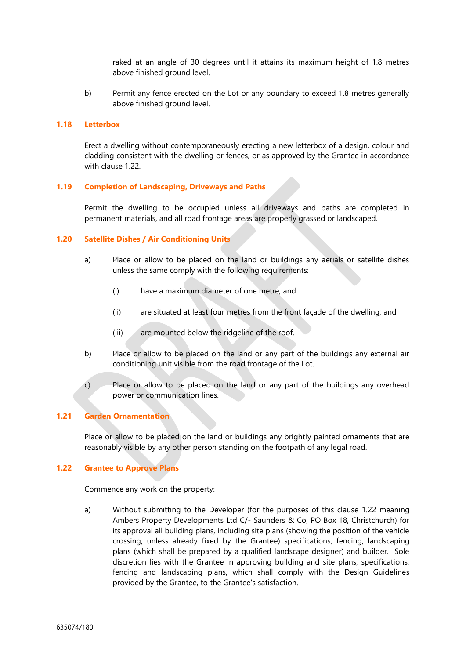raked at an angle of 30 degrees until it attains its maximum height of 1.8 metres above finished ground level.

b) Permit any fence erected on the Lot or any boundary to exceed 1.8 metres generally above finished ground level.

### **1.18 Letterbox**

Erect a dwelling without contemporaneously erecting a new letterbox of a design, colour and cladding consistent with the dwelling or fences, or as approved by the Grantee in accordance with clause 1.22.

#### **1.19 Completion of Landscaping, Driveways and Paths**

Permit the dwelling to be occupied unless all driveways and paths are completed in permanent materials, and all road frontage areas are properly grassed or landscaped.

#### **1.20 Satellite Dishes / Air Conditioning Units**

- a) Place or allow to be placed on the land or buildings any aerials or satellite dishes unless the same comply with the following requirements:
	- (i) have a maximum diameter of one metre; and
	- (ii) are situated at least four metres from the front façade of the dwelling; and
	- (iii) are mounted below the ridgeline of the roof.
- b) Place or allow to be placed on the land or any part of the buildings any external air conditioning unit visible from the road frontage of the Lot.
- c) Place or allow to be placed on the land or any part of the buildings any overhead power or communication lines.

## **1.21 Garden Ornamentation**

Place or allow to be placed on the land or buildings any brightly painted ornaments that are reasonably visible by any other person standing on the footpath of any legal road.

## **1.22 Grantee to Approve Plans**

Commence any work on the property:

a) Without submitting to the Developer (for the purposes of this clause 1.22 meaning Ambers Property Developments Ltd C/- Saunders & Co, PO Box 18, Christchurch) for its approval all building plans, including site plans (showing the position of the vehicle crossing, unless already fixed by the Grantee) specifications, fencing, landscaping plans (which shall be prepared by a qualified landscape designer) and builder. Sole discretion lies with the Grantee in approving building and site plans, specifications, fencing and landscaping plans, which shall comply with the Design Guidelines provided by the Grantee, to the Grantee's satisfaction.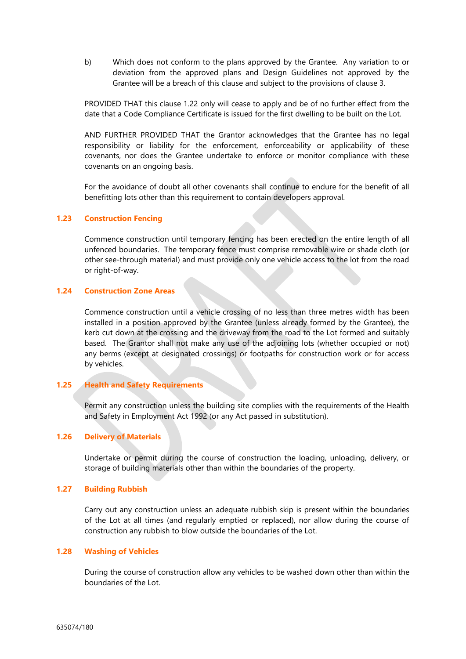b) Which does not conform to the plans approved by the Grantee. Any variation to or deviation from the approved plans and Design Guidelines not approved by the Grantee will be a breach of this clause and subject to the provisions of clause 3.

PROVIDED THAT this clause 1.22 only will cease to apply and be of no further effect from the date that a Code Compliance Certificate is issued for the first dwelling to be built on the Lot.

AND FURTHER PROVIDED THAT the Grantor acknowledges that the Grantee has no legal responsibility or liability for the enforcement, enforceability or applicability of these covenants, nor does the Grantee undertake to enforce or monitor compliance with these covenants on an ongoing basis.

For the avoidance of doubt all other covenants shall continue to endure for the benefit of all benefitting lots other than this requirement to contain developers approval.

## **1.23 Construction Fencing**

Commence construction until temporary fencing has been erected on the entire length of all unfenced boundaries. The temporary fence must comprise removable wire or shade cloth (or other see-through material) and must provide only one vehicle access to the lot from the road or right-of-way.

# **1.24 Construction Zone Areas**

Commence construction until a vehicle crossing of no less than three metres width has been installed in a position approved by the Grantee (unless already formed by the Grantee), the kerb cut down at the crossing and the driveway from the road to the Lot formed and suitably based. The Grantor shall not make any use of the adjoining lots (whether occupied or not) any berms (except at designated crossings) or footpaths for construction work or for access by vehicles.

# **1.25 Health and Safety Requirements**

Permit any construction unless the building site complies with the requirements of the Health and Safety in Employment Act 1992 (or any Act passed in substitution).

## **1.26 Delivery of Materials**

Undertake or permit during the course of construction the loading, unloading, delivery, or storage of building materials other than within the boundaries of the property.

#### **1.27 Building Rubbish**

Carry out any construction unless an adequate rubbish skip is present within the boundaries of the Lot at all times (and regularly emptied or replaced), nor allow during the course of construction any rubbish to blow outside the boundaries of the Lot.

#### **1.28 Washing of Vehicles**

During the course of construction allow any vehicles to be washed down other than within the boundaries of the Lot.